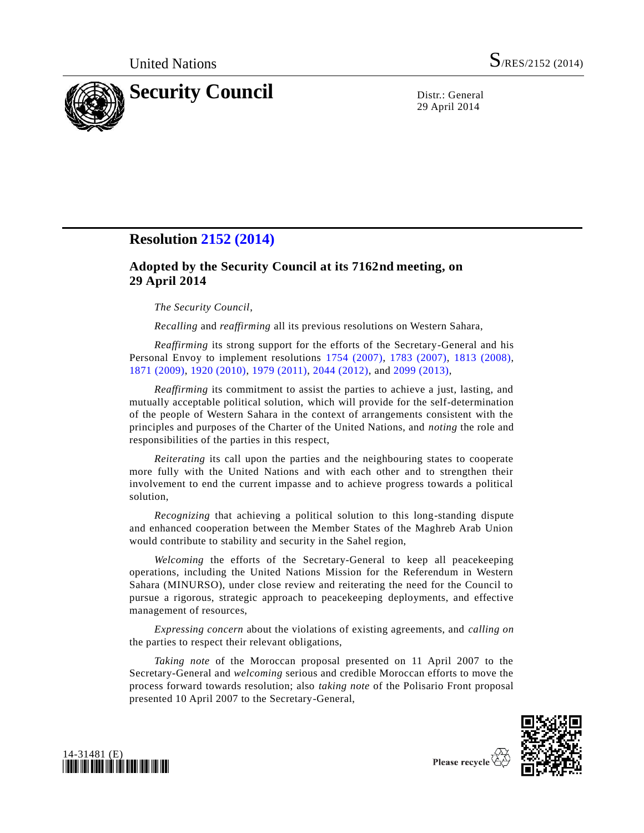

29 April 2014

## **Resolution [2152 \(2014\)](http://undocs.org/S/RES/2152(2014))**

## **Adopted by the Security Council at its 7162nd meeting, on 29 April 2014**

*The Security Council*,

*Recalling* and *reaffirming* all its previous resolutions on Western Sahara,

*Reaffirming* its strong support for the efforts of the Secretary-General and his Personal Envoy to implement resolutions [1754 \(2007\),](http://undocs.org/S/RES/1754(2007)) [1783 \(2007\),](http://undocs.org/S/RES/1783(2007)) [1813 \(2008\),](http://undocs.org/S/RES/1813(2008)) [1871 \(2009\),](http://undocs.org/S/RES/1871(2009)) [1920 \(2010\),](http://undocs.org/S/RES/1920(2010)) [1979 \(2011\),](http://undocs.org/S/RES/1979(2011)) [2044 \(2012\),](http://undocs.org/S/RES/2044(2012)) and [2099 \(2013\),](http://undocs.org/S/RES/2099(2013))

*Reaffirming* its commitment to assist the parties to achieve a just, lasting, and mutually acceptable political solution, which will provide for the self-determination of the people of Western Sahara in the context of arrangements consistent with the principles and purposes of the Charter of the United Nations, and *noting* the role and responsibilities of the parties in this respect,

*Reiterating* its call upon the parties and the neighbouring states to cooperate more fully with the United Nations and with each other and to strengthen their involvement to end the current impasse and to achieve progress towards a political solution,

*Recognizing* that achieving a political solution to this long-standing dispute and enhanced cooperation between the Member States of the Maghreb Arab Union would contribute to stability and security in the Sahel region,

*Welcoming* the efforts of the Secretary-General to keep all peacekeeping operations, including the United Nations Mission for the Referendum in Western Sahara (MINURSO), under close review and reiterating the need for the Council to pursue a rigorous, strategic approach to peacekeeping deployments, and effective management of resources,

*Expressing concern* about the violations of existing agreements, and *calling on* the parties to respect their relevant obligations,

*Taking note* of the Moroccan proposal presented on 11 April 2007 to the Secretary-General and *welcoming* serious and credible Moroccan efforts to move the process forward towards resolution; also *taking note* of the Polisario Front proposal presented 10 April 2007 to the Secretary-General,





Please recycle  $\overline{\overline{C}}$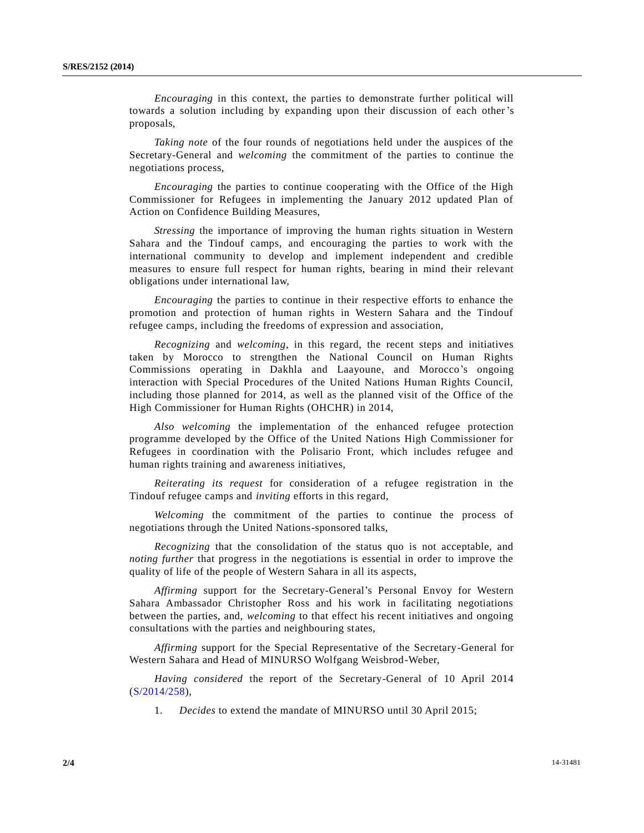*Encouraging* in this context, the parties to demonstrate further political will towards a solution including by expanding upon their discussion of each other's proposals,

*Taking note* of the four rounds of negotiations held under the auspices of the Secretary-General and *welcoming* the commitment of the parties to continue the negotiations process,

*Encouraging* the parties to continue cooperating with the Office of the High Commissioner for Refugees in implementing the January 2012 updated Plan of Action on Confidence Building Measures,

*Stressing* the importance of improving the human rights situation in Western Sahara and the Tindouf camps, and encouraging the parties to work with the international community to develop and implement independent and credible measures to ensure full respect for human rights, bearing in mind their relevant obligations under international law,

*Encouraging* the parties to continue in their respective efforts to enhance the promotion and protection of human rights in Western Sahara and the Tindouf refugee camps, including the freedoms of expression and association,

*Recognizing* and *welcoming*, in this regard, the recent steps and initiatives taken by Morocco to strengthen the National Council on Human Rights Commissions operating in Dakhla and Laayoune, and Morocco's ongoing interaction with Special Procedures of the United Nations Human Rights Council, including those planned for 2014, as well as the planned visit of the Office of the High Commissioner for Human Rights (OHCHR) in 2014,

*Also welcoming* the implementation of the enhanced refugee protection programme developed by the Office of the United Nations High Commissioner for Refugees in coordination with the Polisario Front, which includes refugee and human rights training and awareness initiatives,

*Reiterating its request* for consideration of a refugee registration in the Tindouf refugee camps and *inviting* efforts in this regard,

*Welcoming* the commitment of the parties to continue the process of negotiations through the United Nations-sponsored talks,

*Recognizing* that the consolidation of the status quo is not acceptable, and *noting further* that progress in the negotiations is essential in order to improve the quality of life of the people of Western Sahara in all its aspects,

*Affirming* support for the Secretary-General's Personal Envoy for Western Sahara Ambassador Christopher Ross and his work in facilitating negotiations between the parties, and, *welcoming* to that effect his recent initiatives and ongoing consultations with the parties and neighbouring states,

*Affirming* support for the Special Representative of the Secretary-General for Western Sahara and Head of MINURSO Wolfgang Weisbrod-Weber,

*Having considered* the report of the Secretary-General of 10 April 2014 [\(S/2014/258\)](http://undocs.org/S/2014/258),

1. *Decides* to extend the mandate of MINURSO until 30 April 2015;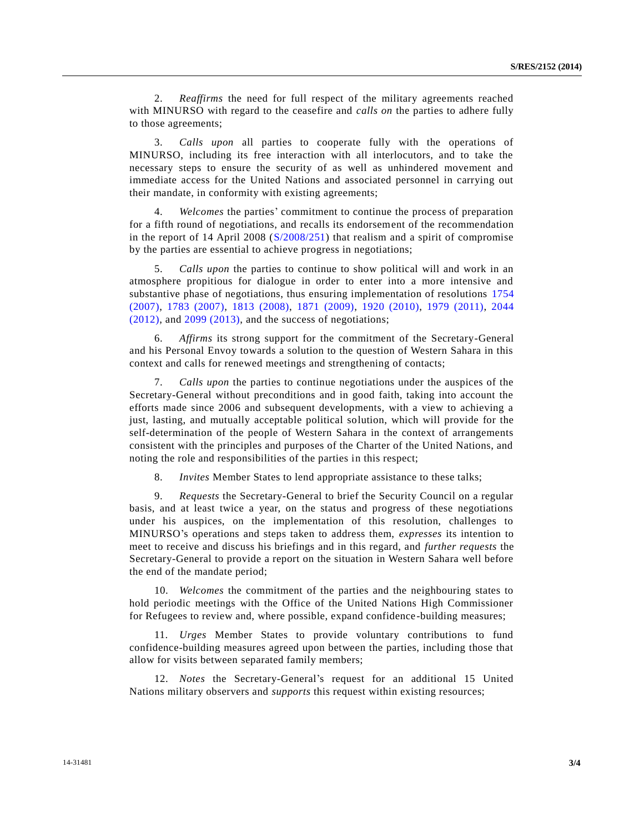2. *Reaffirms* the need for full respect of the military agreements reached with MINURSO with regard to the ceasefire and *calls on* the parties to adhere fully to those agreements;

3. *Calls upon* all parties to cooperate fully with the operations of MINURSO, including its free interaction with all interlocutors, and to take the necessary steps to ensure the security of as well as unhindered movement and immediate access for the United Nations and associated personnel in carrying out their mandate, in conformity with existing agreements;

4. *Welcomes* the parties' commitment to continue the process of preparation for a fifth round of negotiations, and recalls its endorsement of the recommendation in the report of 14 April 2008 [\(S/2008/251\)](http://undocs.org/S/2008/251) that realism and a spirit of compromise by the parties are essential to achieve progress in negotiations;

5. *Calls upon* the parties to continue to show political will and work in an atmosphere propitious for dialogue in order to enter into a more intensive and substantive phase of negotiations, thus ensuring implementation of resolutions [1754](http://undocs.org/S/RES/1754(2007)) [\(2007\),](http://undocs.org/S/RES/1754(2007)) [1783 \(2007\),](http://undocs.org/S/RES/1783(2007)) [1813 \(2008\),](http://undocs.org/S/RES/1813(2008)) [1871 \(2009\),](http://undocs.org/S/RES/1871(2009)) [1920 \(2010\),](http://undocs.org/S/RES/1920(2010)) [1979 \(2011\),](http://undocs.org/S/RES/1979(2011)) [2044](http://undocs.org/S/RES/2044(2012))   $(2012)$ , and  $2099 (2013)$ , and the success of negotiations;

6. *Affirms* its strong support for the commitment of the Secretary-General and his Personal Envoy towards a solution to the question of Western Sahara in this context and calls for renewed meetings and strengthening of contacts;

7. *Calls upon* the parties to continue negotiations under the auspices of the Secretary-General without preconditions and in good faith, taking into account the efforts made since 2006 and subsequent developments, with a view to achieving a just, lasting, and mutually acceptable political solution, which will provide for the self-determination of the people of Western Sahara in the context of arrangements consistent with the principles and purposes of the Charter of the United Nations, and noting the role and responsibilities of the parties in this respect;

8. *Invites* Member States to lend appropriate assistance to these talks;

9. *Requests* the Secretary-General to brief the Security Council on a regular basis, and at least twice a year, on the status and progress of these negotiations under his auspices, on the implementation of this resolution, challenges to MINURSO's operations and steps taken to address them, *expresses* its intention to meet to receive and discuss his briefings and in this regard, and *further requests* the Secretary-General to provide a report on the situation in Western Sahara well before the end of the mandate period;

10. *Welcomes* the commitment of the parties and the neighbouring states to hold periodic meetings with the Office of the United Nations High Commissioner for Refugees to review and, where possible, expand confidence-building measures;

11. *Urges* Member States to provide voluntary contributions to fund confidence-building measures agreed upon between the parties, including those that allow for visits between separated family members;

12. *Notes* the Secretary-General's request for an additional 15 United Nations military observers and *supports* this request within existing resources;